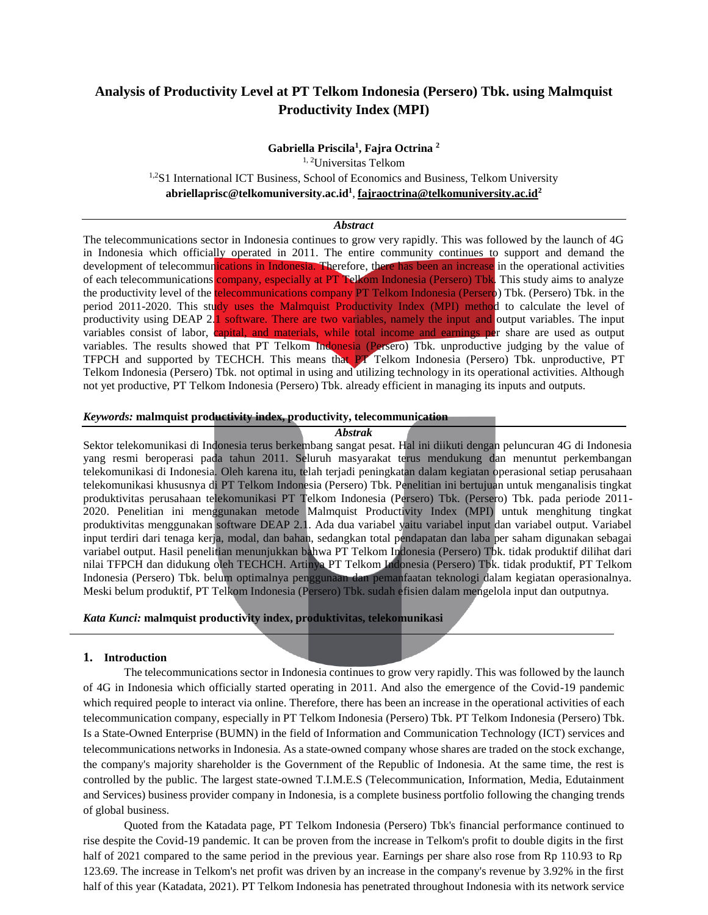# **Analysis of Productivity Level at PT Telkom Indonesia (Persero) Tbk. using Malmquist Productivity Index (MPI)**

**Gabriella Priscila 1 , Fajra Octrina <sup>2</sup>**

1, <sup>2</sup>Universitas Telkom <sup>1,2</sup>S1 International ICT Business, School of Economics and Business, Telkom University **abriellaprisc@telkomuniversity.ac.i[d](mailto:fajraoctrina@telkomuniversity.ac.id)<sup>1</sup>** , **[fajraoctrina@telkomuniversity.ac.id](mailto:fajraoctrina@telkomuniversity.ac.id)<sup>2</sup>**

### *Abstract*

The telecommunications sector in Indonesia continues to grow very rapidly. This was followed by the launch of 4G in Indonesia which officially operated in 2011. The entire community continues to support and demand the development of telecommunications in Indonesia. Therefore, there has been an increase in the operational activities of each telecommunications company, especially at PT Telkom Indonesia (Persero) Tbk. This study aims to analyze the productivity level of the telecommunications company PT Telkom Indonesia (Persero) Tbk. (Persero) Tbk. in the period 2011-2020. This study uses the Malmquist Productivity Index (MPI) method to calculate the level of productivity using DEAP 2.1 software. There are two variables, namely the input and output variables. The input variables consist of labor, capital, and materials, while total income and earnings per share are used as output variables. The results showed that PT Telkom Indonesia (Persero) Tbk. unproductive judging by the value of TFPCH and supported by TECHCH. This means that PT Telkom Indonesia (Persero) Tbk. unproductive, PT Telkom Indonesia (Persero) Tbk. not optimal in using and utilizing technology in its operational activities. Although not yet productive, PT Telkom Indonesia (Persero) Tbk. already efficient in managing its inputs and outputs.

## *Keywords:* **malmquist productivity index, productivity, telecommunication**

### *Abstrak*

Sektor telekomunikasi di Indonesia terus berkembang sangat pesat. Hal ini diikuti dengan peluncuran 4G di Indonesia yang resmi beroperasi pada tahun 2011. Seluruh masyarakat terus mendukung dan menuntut perkembangan telekomunikasi di Indonesia. Oleh karena itu, telah terjadi peningkatan dalam kegiatan operasional setiap perusahaan telekomunikasi khususnya di PT Telkom Indonesia (Persero) Tbk. Penelitian ini bertujuan untuk menganalisis tingkat produktivitas perusahaan telekomunikasi PT Telkom Indonesia (Persero) Tbk. (Persero) Tbk. pada periode 2011- 2020. Penelitian ini menggunakan metode Malmquist Productivity Index (MPI) untuk menghitung tingkat produktivitas menggunakan software DEAP 2.1. Ada dua variabel yaitu variabel input dan variabel output. Variabel input terdiri dari tenaga kerja, modal, dan bahan, sedangkan total pendapatan dan laba per saham digunakan sebagai variabel output. Hasil penelitian menunjukkan bahwa PT Telkom Indonesia (Persero) Tbk. tidak produktif dilihat dari nilai TFPCH dan didukung oleh TECHCH. Artinya PT Telkom Indonesia (Persero) Tbk. tidak produktif, PT Telkom Indonesia (Persero) Tbk. belum optimalnya penggunaan dan pemanfaatan teknologi dalam kegiatan operasionalnya. Meski belum produktif, PT Telkom Indonesia (Persero) Tbk. sudah efisien dalam mengelola input dan outputnya.

# *Kata Kunci:* **malmquist productivity index, produktivitas, telekomunikasi**

### **1. Introduction**

The telecommunications sector in Indonesia continues to grow very rapidly. This was followed by the launch of 4G in Indonesia which officially started operating in 2011. And also the emergence of the Covid-19 pandemic which required people to interact via online. Therefore, there has been an increase in the operational activities of each telecommunication company, especially in PT Telkom Indonesia (Persero) Tbk. PT Telkom Indonesia (Persero) Tbk. Is a State-Owned Enterprise (BUMN) in the field of Information and Communication Technology (ICT) services and telecommunications networks in Indonesia. As a state-owned company whose shares are traded on the stock exchange, the company's majority shareholder is the Government of the Republic of Indonesia. At the same time, the rest is controlled by the public. The largest state-owned T.I.M.E.S (Telecommunication, Information, Media, Edutainment and Services) business provider company in Indonesia, is a complete business portfolio following the changing trends of global business.

Quoted from the Katadata page, PT Telkom Indonesia (Persero) Tbk's financial performance continued to rise despite the Covid-19 pandemic. It can be proven from the increase in Telkom's profit to double digits in the first half of 2021 compared to the same period in the previous year. Earnings per share also rose from Rp 110.93 to Rp 123.69. The increase in Telkom's net profit was driven by an increase in the company's revenue by 3.92% in the first half of this year (Katadata, 2021). PT Telkom Indonesia has penetrated throughout Indonesia with its network service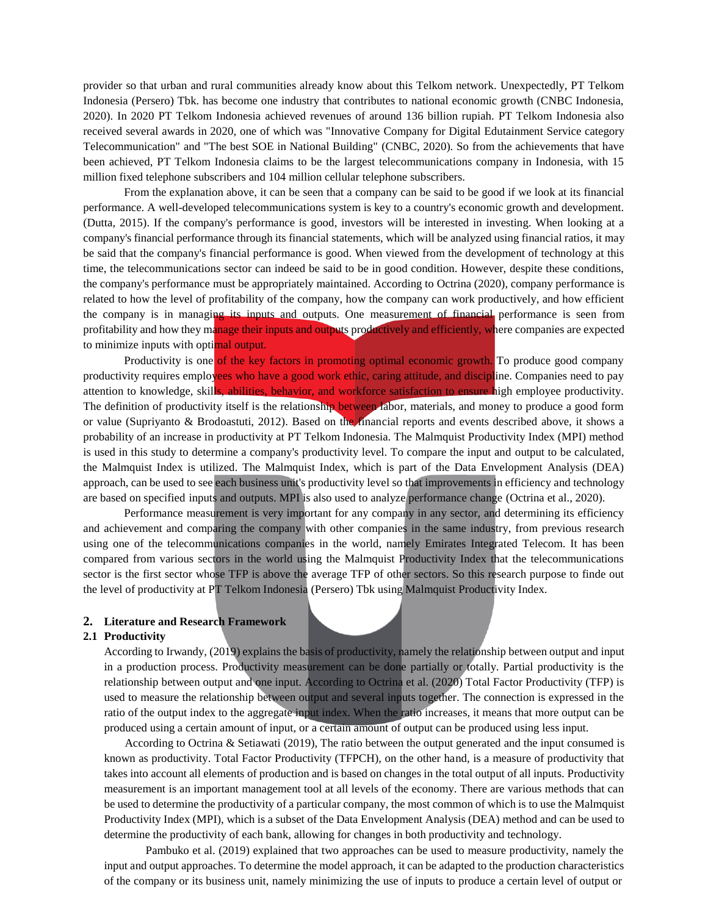provider so that urban and rural communities already know about this Telkom network. Unexpectedly, PT Telkom Indonesia (Persero) Tbk. has become one industry that contributes to national economic growth (CNBC Indonesia, 2020). In 2020 PT Telkom Indonesia achieved revenues of around 136 billion rupiah. PT Telkom Indonesia also received several awards in 2020, one of which was "Innovative Company for Digital Edutainment Service category Telecommunication" and "The best SOE in National Building" (CNBC, 2020). So from the achievements that have been achieved, PT Telkom Indonesia claims to be the largest telecommunications company in Indonesia, with 15 million fixed telephone subscribers and 104 million cellular telephone subscribers.

From the explanation above, it can be seen that a company can be said to be good if we look at its financial performance. A well-developed telecommunications system is key to a country's economic growth and development. (Dutta, 2015). If the company's performance is good, investors will be interested in investing. When looking at a company's financial performance through its financial statements, which will be analyzed using financial ratios, it may be said that the company's financial performance is good. When viewed from the development of technology at this time, the telecommunications sector can indeed be said to be in good condition. However, despite these conditions, the company's performance must be appropriately maintained. According to Octrina (2020), company performance is related to how the level of profitability of the company, how the company can work productively, and how efficient the company is in managing its inputs and outputs. One measurement of financial performance is seen from profitability and how they manage their inputs and outputs productively and efficiently, where companies are expected to minimize inputs with optimal output.

Productivity is one of the key factors in promoting optimal economic growth. To produce good company productivity requires employees who have a good work ethic, caring attitude, and discipline. Companies need to pay attention to knowledge, skills, abilities, behavior, and workforce satisfaction to ensure high employee productivity. The definition of productivity itself is the relationship between labor, materials, and money to produce a good form or value (Supriyanto & Brodoastuti, 2012). Based on the financial reports and events described above, it shows a probability of an increase in productivity at PT Telkom Indonesia. The Malmquist Productivity Index (MPI) method is used in this study to determine a company's productivity level. To compare the input and output to be calculated, the Malmquist Index is utilized. The Malmquist Index, which is part of the Data Envelopment Analysis (DEA) approach, can be used to see each business unit's productivity level so that improvements in efficiency and technology are based on specified inputs and outputs. MPI is also used to analyze performance change (Octrina et al., 2020).

Performance measurement is very important for any company in any sector, and determining its efficiency and achievement and comparing the company with other companies in the same industry, from previous research using one of the telecommunications companies in the world, namely Emirates Integrated Telecom. It has been compared from various sectors in the world using the Malmquist Productivity Index that the telecommunications sector is the first sector whose TFP is above the average TFP of other sectors. So this research purpose to finde out the level of productivity at PT Telkom Indonesia (Persero) Tbk using Malmquist Productivity Index.

#### **2. Literature and Research Framework**

#### **2.1 Productivity**

According to Irwandy, (2019) explains the basis of productivity, namely the relationship between output and input in a production process. Productivity measurement can be done partially or totally. Partial productivity is the relationship between output and one input. According to Octrina et al. (2020) Total Factor Productivity (TFP) is used to measure the relationship between output and several inputs together. The connection is expressed in the ratio of the output index to the aggregate input index. When the ratio increases, it means that more output can be produced using a certain amount of input, or a certain amount of output can be produced using less input.

According to Octrina & Setiawati (2019), The ratio between the output generated and the input consumed is known as productivity. Total Factor Productivity (TFPCH), on the other hand, is a measure of productivity that takes into account all elements of production and is based on changes in the total output of all inputs. Productivity measurement is an important management tool at all levels of the economy. There are various methods that can be used to determine the productivity of a particular company, the most common of which is to use the Malmquist Productivity Index (MPI), which is a subset of the Data Envelopment Analysis (DEA) method and can be used to determine the productivity of each bank, allowing for changes in both productivity and technology.

Pambuko et al. (2019) explained that two approaches can be used to measure productivity, namely the input and output approaches. To determine the model approach, it can be adapted to the production characteristics of the company or its business unit, namely minimizing the use of inputs to produce a certain level of output or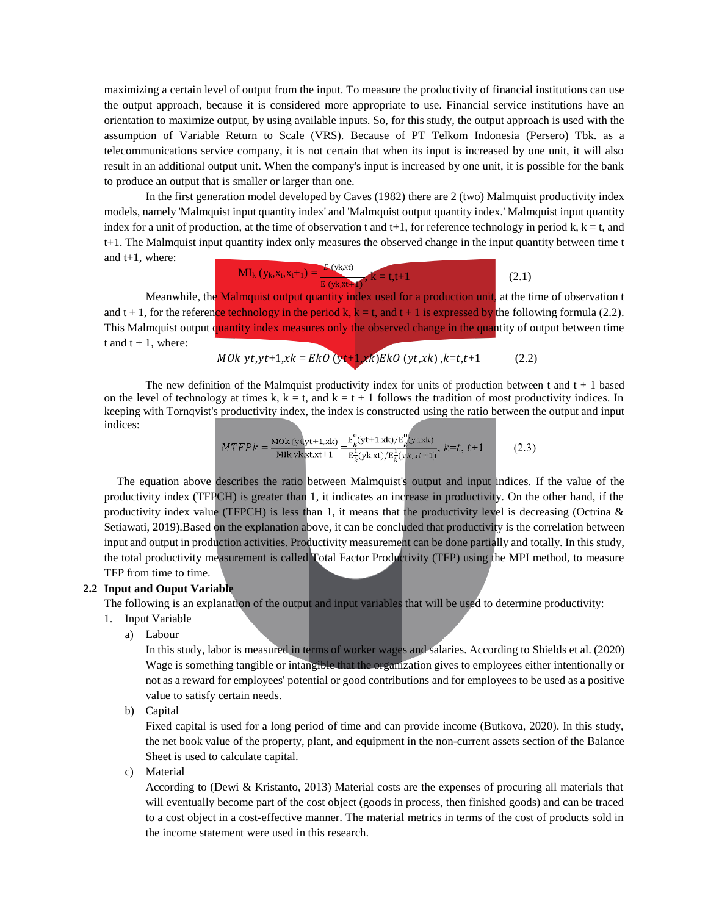maximizing a certain level of output from the input. To measure the productivity of financial institutions can use the output approach, because it is considered more appropriate to use. Financial service institutions have an orientation to maximize output, by using available inputs. So, for this study, the output approach is used with the assumption of Variable Return to Scale (VRS). Because of PT Telkom Indonesia (Persero) Tbk. as a telecommunications service company, it is not certain that when its input is increased by one unit, it will also result in an additional output unit. When the company's input is increased by one unit, it is possible for the bank to produce an output that is smaller or larger than one.

In the first generation model developed by Caves (1982) there are 2 (two) Malmquist productivity index models, namely 'Malmquist input quantity index' and 'Malmquist output quantity index.' Malmquist input quantity index for a unit of production, at the time of observation t and  $t+1$ , for reference technology in period k,  $k = t$ , and t+1. The Malmquist input quantity index only measures the observed change in the input quantity between time t and t+1, where:

$$
MI_{k}(y_{k}, x_{t}, x_{t+1}) = \frac{E(y_{k}, x_{t})}{E(y_{k}, x_{t+1})}, k = t, t+1
$$
 (2.1)

Meanwhile, the Malmquist output quantity index used for a production unit, at the time of observation t and t + 1, for the reference technology in the period k,  $k = t$ , and t + 1 is expressed by the following formula (2.2). This Malmquist output quantity index measures only the observed change in the quantity of output between time  $t$  and  $t + 1$ , where:

,+1, = (+1,) (,) ,=,+1 (2.2)

The new definition of the Malmquist productivity index for units of production between  $t$  and  $t + 1$  based on the level of technology at times k,  $k = t$ , and  $k = t + 1$  follows the tradition of most productivity indices. In keeping with Tornqvist's productivity index, the index is constructed using the ratio between the output and input indices:

$$
MTFPk = \frac{\text{MOk}(yt)dt + 1, xk}{\text{Mlk}yk, xtx+t1} = \frac{E_{\overline{k}}^0(yt+1, xk)/E_{\overline{k}}^0(yt, xk)}{E_{\overline{k}}^1(yk, xt)/E_{\overline{k}}^1(yk, xt+1)}, \, k = t, \, t+1 \tag{2.3}
$$

The equation above describes the ratio between Malmquist's output and input indices. If the value of the productivity index (TFPCH) is greater than 1, it indicates an increase in productivity. On the other hand, if the productivity index value (TFPCH) is less than 1, it means that the productivity level is decreasing (Octrina  $\&$ Setiawati, 2019).Based on the explanation above, it can be concluded that productivity is the correlation between input and output in production activities. Productivity measurement can be done partially and totally. In this study, the total productivity measurement is called Total Factor Productivity (TFP) using the MPI method, to measure TFP from time to time.

### **2.2 Input and Ouput Variable**

The following is an explanation of the output and input variables that will be used to determine productivity:

- 1. Input Variable
	- a) Labour

In this study, labor is measured in terms of worker wages and salaries. According to Shields et al. (2020) Wage is something tangible or intangible that the organization gives to employees either intentionally or not as a reward for employees' potential or good contributions and for employees to be used as a positive value to satisfy certain needs.

b) Capital

Fixed capital is used for a long period of time and can provide income (Butkova, 2020). In this study, the net book value of the property, plant, and equipment in the non-current assets section of the Balance Sheet is used to calculate capital.

c) Material

According to (Dewi & Kristanto, 2013) Material costs are the expenses of procuring all materials that will eventually become part of the cost object (goods in process, then finished goods) and can be traced to a cost object in a cost-effective manner. The material metrics in terms of the cost of products sold in the income statement were used in this research.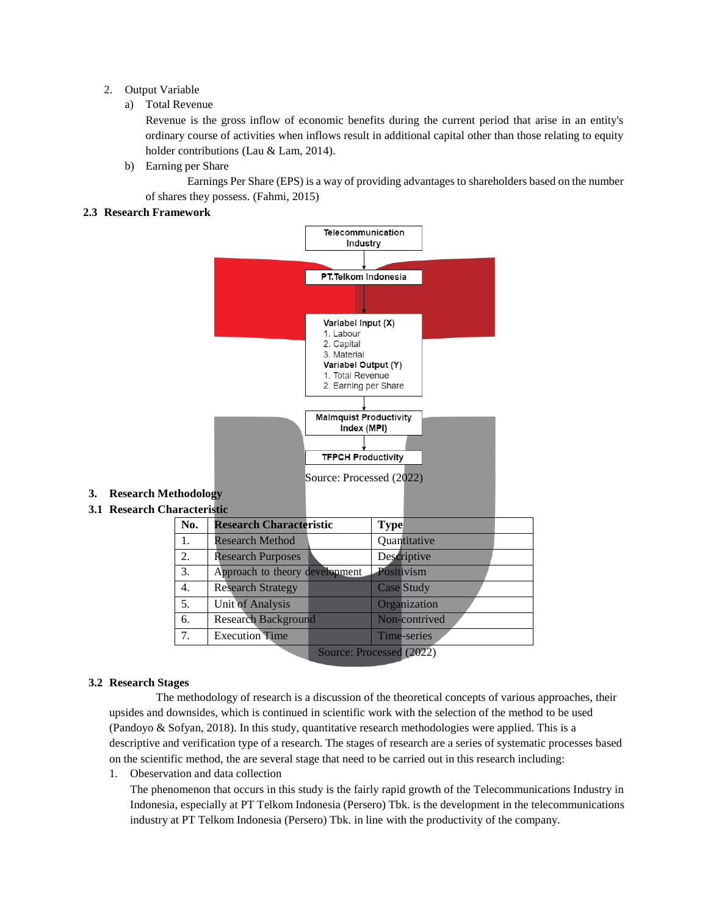# 2. Output Variable

# a) Total Revenue

Revenue is the gross inflow of economic benefits during the current period that arise in an entity's ordinary course of activities when inflows result in additional capital other than those relating to equity holder contributions (Lau & Lam, 2014).

b) Earning per Share

Earnings Per Share (EPS) is a way of providing advantages to shareholders based on the number of shares they possess. (Fahmi, 2015)

# **2.3 Research Framework**



# **3. Research Methodology**

**3.1 Research Characteristic**

| No. | <b>Research Characteristic</b> |                          | <b>Type</b> |                   |  |
|-----|--------------------------------|--------------------------|-------------|-------------------|--|
| 1.  | <b>Research Method</b>         |                          |             | Quantitative      |  |
| 2.  | <b>Research Purposes</b>       |                          |             | Descriptive       |  |
| 3.  | Approach to theory development |                          |             | Positivism        |  |
| 4.  | <b>Research Strategy</b>       |                          |             | <b>Case Study</b> |  |
| 5.  | <b>Unit of Analysis</b>        |                          |             | Organization      |  |
| 6.  | <b>Research Background</b>     |                          |             | Non-contrived     |  |
| 7.  | <b>Execution Time</b>          |                          |             | Time-series       |  |
|     |                                | Source: Processed (2022) |             |                   |  |

# **3.2 Research Stages**

The methodology of research is a discussion of the theoretical concepts of various approaches, their upsides and downsides, which is continued in scientific work with the selection of the method to be used (Pandoyo & Sofyan, 2018). In this study, quantitative research methodologies were applied. This is a descriptive and verification type of a research. The stages of research are a series of systematic processes based on the scientific method, the are several stage that need to be carried out in this research including:

1. Obeservation and data collection

The phenomenon that occurs in this study is the fairly rapid growth of the Telecommunications Industry in Indonesia, especially at PT Telkom Indonesia (Persero) Tbk. is the development in the telecommunications industry at PT Telkom Indonesia (Persero) Tbk. in line with the productivity of the company.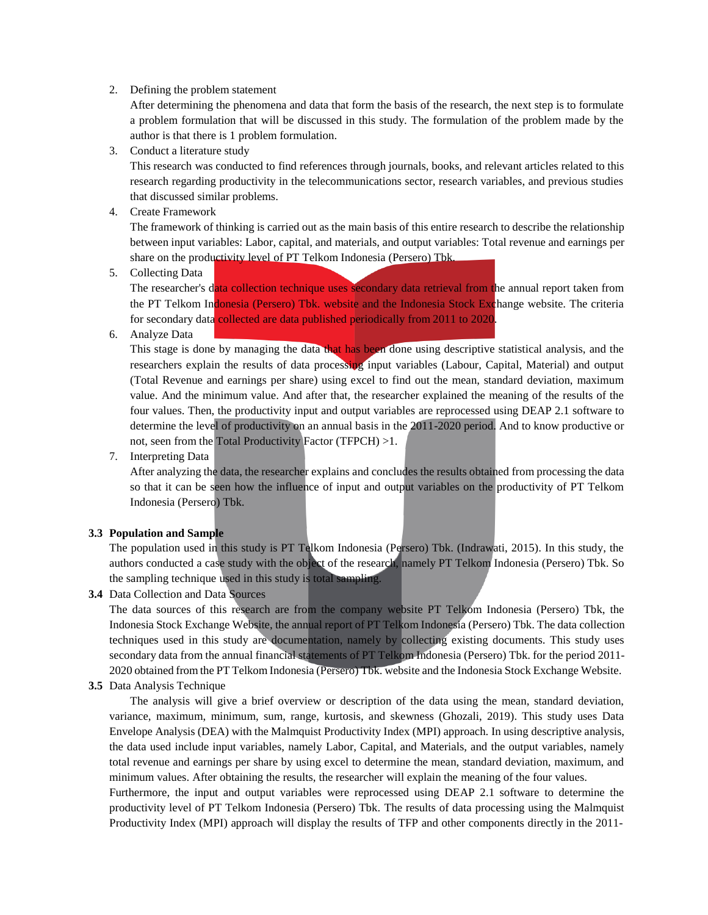### 2. Defining the problem statement

After determining the phenomena and data that form the basis of the research, the next step is to formulate a problem formulation that will be discussed in this study. The formulation of the problem made by the author is that there is 1 problem formulation.

3. Conduct a literature study

This research was conducted to find references through journals, books, and relevant articles related to this research regarding productivity in the telecommunications sector, research variables, and previous studies that discussed similar problems.

4. Create Framework

The framework of thinking is carried out as the main basis of this entire research to describe the relationship between input variables: Labor, capital, and materials, and output variables: Total revenue and earnings per share on the productivity level of PT Telkom Indonesia (Persero) Tbk.

5. Collecting Data

The researcher's data collection technique uses secondary data retrieval from the annual report taken from the PT Telkom Indonesia (Persero) Tbk. website and the Indonesia Stock Exchange website. The criteria for secondary data collected are data published periodically from 2011 to 2020.

6. Analyze Data

This stage is done by managing the data that has been done using descriptive statistical analysis, and the researchers explain the results of data processing input variables (Labour, Capital, Material) and output (Total Revenue and earnings per share) using excel to find out the mean, standard deviation, maximum value. And the minimum value. And after that, the researcher explained the meaning of the results of the four values. Then, the productivity input and output variables are reprocessed using DEAP 2.1 software to determine the level of productivity on an annual basis in the 2011-2020 period. And to know productive or not, seen from the Total Productivity Factor (TFPCH) >1.

7. Interpreting Data

After analyzing the data, the researcher explains and concludes the results obtained from processing the data so that it can be seen how the influence of input and output variables on the productivity of PT Telkom Indonesia (Persero) Tbk.

# **3.3 Population and Sample**

The population used in this study is PT Telkom Indonesia (Persero) Tbk. (Indrawati, 2015). In this study, the authors conducted a case study with the object of the research, namely PT Telkom Indonesia (Persero) Tbk. So the sampling technique used in this study is total sampling.

**3.4** Data Collection and Data Sources

The data sources of this research are from the company website PT Telkom Indonesia (Persero) Tbk, the Indonesia Stock Exchange Website, the annual report of PT Telkom Indonesia (Persero) Tbk. The data collection techniques used in this study are documentation, namely by collecting existing documents. This study uses secondary data from the annual financial statements of PT Telkom Indonesia (Persero) Tbk. for the period 2011- 2020 obtained from the PT Telkom Indonesia (Persero) Tbk. website and the Indonesia Stock Exchange Website.

**3.5** Data Analysis Technique

The analysis will give a brief overview or description of the data using the mean, standard deviation, variance, maximum, minimum, sum, range, kurtosis, and skewness (Ghozali, 2019). This study uses Data Envelope Analysis (DEA) with the Malmquist Productivity Index (MPI) approach. In using descriptive analysis, the data used include input variables, namely Labor, Capital, and Materials, and the output variables, namely total revenue and earnings per share by using excel to determine the mean, standard deviation, maximum, and minimum values. After obtaining the results, the researcher will explain the meaning of the four values.

Furthermore, the input and output variables were reprocessed using DEAP 2.1 software to determine the productivity level of PT Telkom Indonesia (Persero) Tbk. The results of data processing using the Malmquist Productivity Index (MPI) approach will display the results of TFP and other components directly in the 2011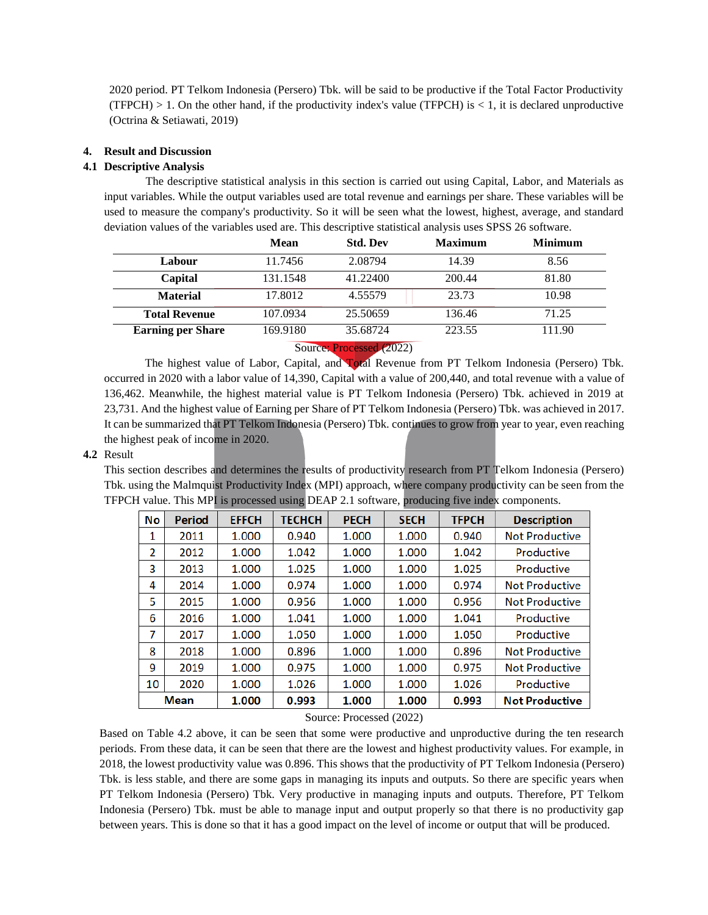2020 period. PT Telkom Indonesia (Persero) Tbk. will be said to be productive if the Total Factor Productivity (TFPCH)  $> 1$ . On the other hand, if the productivity index's value (TFPCH) is  $< 1$ , it is declared unproductive (Octrina & Setiawati, 2019)

# **4. Result and Discussion**

### **4.1 Descriptive Analysis**

The descriptive statistical analysis in this section is carried out using Capital, Labor, and Materials as input variables. While the output variables used are total revenue and earnings per share. These variables will be used to measure the company's productivity. So it will be seen what the lowest, highest, average, and standard deviation values of the variables used are. This descriptive statistical analysis uses SPSS 26 software.

|                                                      | Mean     | <b>Std. Dev</b> | <b>Maximum</b> | <b>Minimum</b> |  |  |  |  |
|------------------------------------------------------|----------|-----------------|----------------|----------------|--|--|--|--|
| Labour                                               | 11.7456  | 2.08794         | 14.39          | 8.56           |  |  |  |  |
| Capital                                              | 131.1548 | 41.22400        | 200.44         | 81.80          |  |  |  |  |
| <b>Material</b>                                      | 17.8012  | 4.55579         | 23.73          | 10.98          |  |  |  |  |
| <b>Total Revenue</b>                                 | 107.0934 | 25.50659        | 136.46         | 71.25          |  |  |  |  |
| <b>Earning per Share</b>                             | 169.9180 | 35.68724        | 223.55         | 111.90         |  |  |  |  |
| $C_{\text{average}}$ , $D_{\text{total}}$ , $(9022)$ |          |                 |                |                |  |  |  |  |

Source: Processed (2022)

The highest value of Labor, Capital, and Total Revenue from PT Telkom Indonesia (Persero) Tbk. occurred in 2020 with a labor value of 14,390, Capital with a value of 200,440, and total revenue with a value of 136,462. Meanwhile, the highest material value is PT Telkom Indonesia (Persero) Tbk. achieved in 2019 at 23,731. And the highest value of Earning per Share of PT Telkom Indonesia (Persero) Tbk. was achieved in 2017. It can be summarized that PT Telkom Indonesia (Persero) Tbk. continues to grow from year to year, even reaching the highest peak of income in 2020.

#### **4.2** Result

This section describes and determines the results of productivity research from PT Telkom Indonesia (Persero) Tbk. using the Malmquist Productivity Index (MPI) approach, where company productivity can be seen from the TFPCH value. This MPI is processed using DEAP 2.1 software, producing five index components.

| No          | Period | <b>EFFCH</b> | <b>TECHCH</b> | <b>PECH</b> | <b>SECH</b> | <b>TFPCH</b> | <b>Description</b>    |
|-------------|--------|--------------|---------------|-------------|-------------|--------------|-----------------------|
| 1           | 2011   | 1.000        | 0.940         | 1.000       | 1.000       | 0.940        | <b>Not Productive</b> |
| 2           | 2012   | 1.000        | 1.042         | 1.000       | 1.000       | 1.042        | Productive            |
| 3           | 2013   | 1.000        | 1.025         | 1.000       | 1.000       | 1.025        | Productive            |
| 4           | 2014   | 1.000        | 0.974         | 1.000       | 1.000       | 0.974        | <b>Not Productive</b> |
| 5           | 2015   | 1.000        | 0.956         | 1.000       | 1.000       | 0.956        | <b>Not Productive</b> |
| 6           | 2016   | 1.000        | 1.041         | 1.000       | 1.000       | 1.041        | Productive            |
| 7           | 2017   | 1.000        | 1.050         | 1.000       | 1.000       | 1.050        | Productive            |
| 8           | 2018   | 1.000        | 0.896         | 1.000       | 1.000       | 0.896        | <b>Not Productive</b> |
| 9           | 2019   | 1.000        | 0.975         | 1.000       | 1.000       | 0.975        | <b>Not Productive</b> |
| 10          | 2020   | 1.000        | 1.026         | 1.000       | 1.000       | 1.026        | Productive            |
| <b>Mean</b> |        | 1.000        | 0.993         | 1.000       | 1.000       | 0.993        | <b>Not Productive</b> |

## Source: Processed (2022)

Based on Table 4.2 above, it can be seen that some were productive and unproductive during the ten research periods. From these data, it can be seen that there are the lowest and highest productivity values. For example, in 2018, the lowest productivity value was 0.896. This shows that the productivity of PT Telkom Indonesia (Persero) Tbk. is less stable, and there are some gaps in managing its inputs and outputs. So there are specific years when PT Telkom Indonesia (Persero) Tbk. Very productive in managing inputs and outputs. Therefore, PT Telkom Indonesia (Persero) Tbk. must be able to manage input and output properly so that there is no productivity gap between years. This is done so that it has a good impact on the level of income or output that will be produced.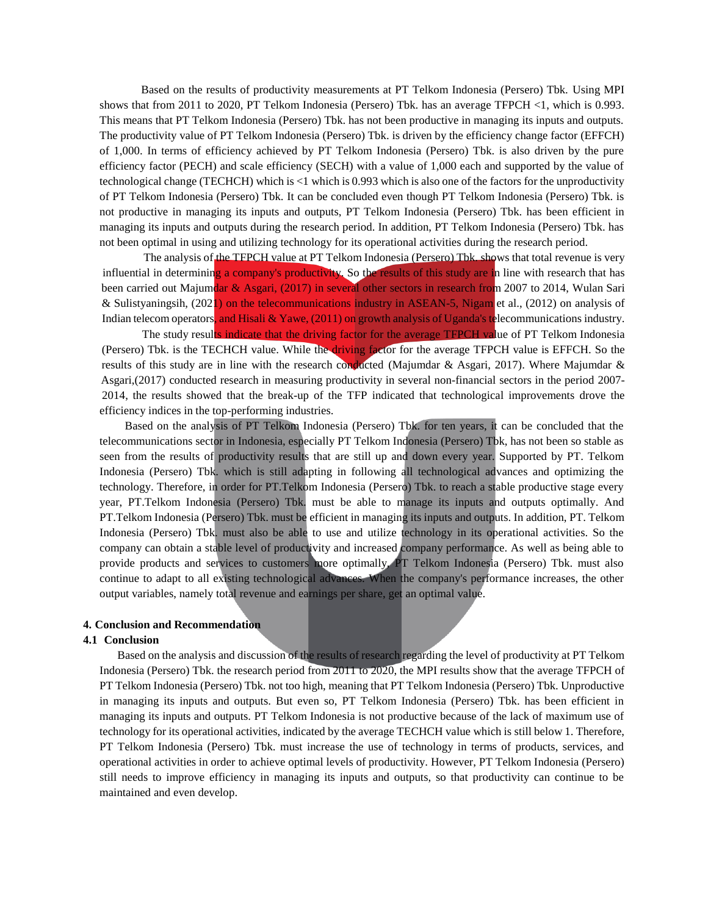Based on the results of productivity measurements at PT Telkom Indonesia (Persero) Tbk. Using MPI shows that from 2011 to 2020, PT Telkom Indonesia (Persero) Tbk. has an average TFPCH <1, which is 0.993. This means that PT Telkom Indonesia (Persero) Tbk. has not been productive in managing its inputs and outputs. The productivity value of PT Telkom Indonesia (Persero) Tbk. is driven by the efficiency change factor (EFFCH) of 1,000. In terms of efficiency achieved by PT Telkom Indonesia (Persero) Tbk. is also driven by the pure efficiency factor (PECH) and scale efficiency (SECH) with a value of 1,000 each and supported by the value of technological change (TECHCH) which is <1 which is 0.993 which is also one of the factors for the unproductivity of PT Telkom Indonesia (Persero) Tbk. It can be concluded even though PT Telkom Indonesia (Persero) Tbk. is not productive in managing its inputs and outputs, PT Telkom Indonesia (Persero) Tbk. has been efficient in managing its inputs and outputs during the research period. In addition, PT Telkom Indonesia (Persero) Tbk. has not been optimal in using and utilizing technology for its operational activities during the research period.

The analysis of the TFPCH value at PT Telkom Indonesia (Persero) Tbk, shows that total revenue is very influential in determining a company's productivity. So the results of this study are in line with research that has been carried out Majumdar & Asgari, (2017) in several other sectors in research from 2007 to 2014, Wulan Sari & Sulistyaningsih, (2021) on the telecommunications industry in ASEAN-5, Nigam et al., (2012) on analysis of Indian telecom operators, and Hisali & Yawe, (2011) on growth analysis of Uganda's telecommunications industry.

The study results indicate that the driving factor for the average TFPCH value of PT Telkom Indonesia (Persero) Tbk. is the TECHCH value. While the driving factor for the average TFPCH value is EFFCH. So the results of this study are in line with the research conducted (Majumdar & Asgari, 2017). Where Majumdar & Asgari,(2017) conducted research in measuring productivity in several non-financial sectors in the period 2007- 2014, the results showed that the break-up of the TFP indicated that technological improvements drove the efficiency indices in the top-performing industries.

Based on the analysis of PT Telkom Indonesia (Persero) Tbk. for ten years, it can be concluded that the telecommunications sector in Indonesia, especially PT Telkom Indonesia (Persero) Tbk, has not been so stable as seen from the results of productivity results that are still up and down every year. Supported by PT. Telkom Indonesia (Persero) Tbk. which is still adapting in following all technological advances and optimizing the technology. Therefore, in order for PT.Telkom Indonesia (Persero) Tbk. to reach a stable productive stage every year, PT.Telkom Indonesia (Persero) Tbk. must be able to manage its inputs and outputs optimally. And PT.Telkom Indonesia (Persero) Tbk. must be efficient in managing its inputs and outputs. In addition, PT. Telkom Indonesia (Persero) Tbk. must also be able to use and utilize technology in its operational activities. So the company can obtain a stable level of productivity and increased company performance. As well as being able to provide products and services to customers more optimally, PT Telkom Indonesia (Persero) Tbk. must also continue to adapt to all existing technological advances. When the company's performance increases, the other output variables, namely total revenue and earnings per share, get an optimal value.

#### **4. Conclusion and Recommendation**

#### **4.1 Conclusion**

Based on the analysis and discussion of the results of research regarding the level of productivity at PT Telkom Indonesia (Persero) Tbk. the research period from 2011 to 2020, the MPI results show that the average TFPCH of PT Telkom Indonesia (Persero) Tbk. not too high, meaning that PT Telkom Indonesia (Persero) Tbk. Unproductive in managing its inputs and outputs. But even so, PT Telkom Indonesia (Persero) Tbk. has been efficient in managing its inputs and outputs. PT Telkom Indonesia is not productive because of the lack of maximum use of technology for its operational activities, indicated by the average TECHCH value which is still below 1. Therefore, PT Telkom Indonesia (Persero) Tbk. must increase the use of technology in terms of products, services, and operational activities in order to achieve optimal levels of productivity. However, PT Telkom Indonesia (Persero) still needs to improve efficiency in managing its inputs and outputs, so that productivity can continue to be maintained and even develop.